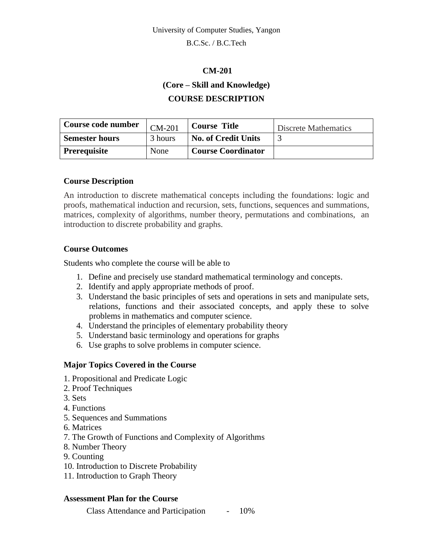B.C.Sc. / B.C.Tech

### **CM-201**

**(Core – Skill and Knowledge)**

## **COURSE DESCRIPTION**

| Course code number    | CM-201  | <b>Course Title</b>        | Discrete Mathematics |
|-----------------------|---------|----------------------------|----------------------|
| <b>Semester hours</b> | 3 hours | <b>No. of Credit Units</b> |                      |
| <b>Prerequisite</b>   | None    | <b>Course Coordinator</b>  |                      |

## **Course Description**

An introduction to discrete mathematical concepts including the foundations: logic and proofs, mathematical induction and recursion, sets, functions, sequences and summations, matrices, complexity of algorithms, number theory, permutations and combinations, an introduction to discrete probability and graphs.

## **Course Outcomes**

Students who complete the course will be able to

- 1. Define and precisely use standard mathematical terminology and concepts.
- 2. Identify and apply appropriate methods of proof.
- 3. Understand the basic principles of sets and operations in sets and manipulate sets, relations, functions and their associated concepts, and apply these to solve problems in mathematics and computer science.
- 4. Understand the principles of elementary probability theory
- 5. Understand basic terminology and operations for graphs
- 6. Use graphs to solve problems in computer science.

## **Major Topics Covered in the Course**

- 1. Propositional and Predicate Logic
- 2. Proof Techniques
- 3. Sets
- 4. Functions
- 5. Sequences and Summations
- 6. Matrices
- 7. The Growth of Functions and Complexity of Algorithms
- 8. Number Theory
- 9. Counting
- 10. Introduction to Discrete Probability
- 11. Introduction to Graph Theory

### **Assessment Plan for the Course**

Class Attendance and Participation - 10%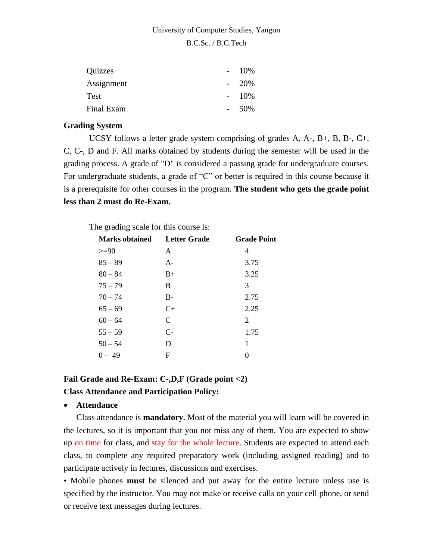B.C.Sc. / B.C.Tech

| Quizzes    | $\sim$ | 10\%    |
|------------|--------|---------|
| Assignment |        | $-20\%$ |
| Test       |        | $-10\%$ |
| Final Exam |        | .50%    |

#### **Grading System**

UCSY follows a letter grade system comprising of grades A, A-, B+, B, B-, C+, C, C-, D and F. All marks obtained by students during the semester will be used in the grading process. A grade of "D" is considered a passing grade for undergraduate courses. For undergraduate students, a grade of "C" or better is required in this course because it is a prerequisite for other courses in the program. **The student who gets the grade point less than 2 must do Re-Exam.**

The grading scale for this course is:

| <b>Marks obtained</b> | <b>Letter Grade</b> | <b>Grade Point</b> |
|-----------------------|---------------------|--------------------|
| $>=$ 90               | A                   | 4                  |
| $85 - 89$             | $A -$               | 3.75               |
| $80 - 84$             | $B+$                | 3.25               |
| $75 - 79$             | B                   | 3                  |
| $70 - 74$             | $B-$                | 2.75               |
| $65 - 69$             | $C+$                | 2.25               |
| $60 - 64$             | $\mathcal{C}$       | 2                  |
| $55 - 59$             | $C-$                | 1.75               |
| $50 - 54$             | D                   | 1                  |
| $0 - 49$              | F                   | 0                  |

# **Fail Grade and Re-Exam: C-,D,F (Grade point <2) Class Attendance and Participation Policy:**

#### • **Attendance**

Class attendance is **mandatory**. Most of the material you will learn will be covered in the lectures, so it is important that you not miss any of them. You are expected to show up on time for class, and stay for the whole lecture. Students are expected to attend each class, to complete any required preparatory work (including assigned reading) and to participate actively in lectures, discussions and exercises.

• Mobile phones **must** be silenced and put away for the entire lecture unless use is specified by the instructor. You may not make or receive calls on your cell phone, or send or receive text messages during lectures.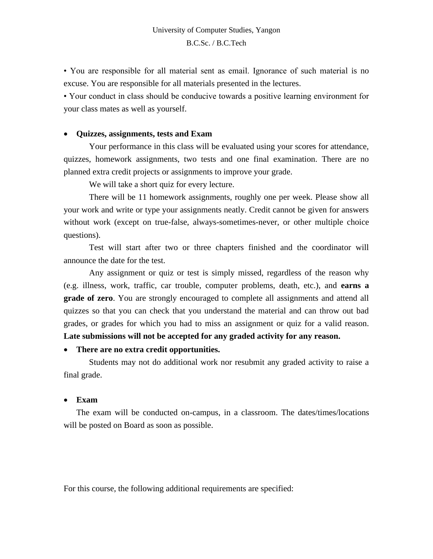• You are responsible for all material sent as email. Ignorance of such material is no excuse. You are responsible for all materials presented in the lectures.

• Your conduct in class should be conducive towards a positive learning environment for your class mates as well as yourself.

#### • **Quizzes, assignments, tests and Exam**

Your performance in this class will be evaluated using your scores for attendance, quizzes, homework assignments, two tests and one final examination. There are no planned extra credit projects or assignments to improve your grade.

We will take a short quiz for every lecture.

There will be 11 homework assignments, roughly one per week. Please show all your work and write or type your assignments neatly. Credit cannot be given for answers without work (except on true-false, always-sometimes-never, or other multiple choice questions).

Test will start after two or three chapters finished and the coordinator will announce the date for the test.

Any assignment or quiz or test is simply missed, regardless of the reason why (e.g. illness, work, traffic, car trouble, computer problems, death, etc.), and **earns a grade of zero**. You are strongly encouraged to complete all assignments and attend all quizzes so that you can check that you understand the material and can throw out bad grades, or grades for which you had to miss an assignment or quiz for a valid reason. **Late submissions will not be accepted for any graded activity for any reason.**

#### • **There are no extra credit opportunities.**

Students may not do additional work nor resubmit any graded activity to raise a final grade.

#### • **Exam**

The exam will be conducted on-campus, in a classroom. The dates/times/locations will be posted on Board as soon as possible.

For this course, the following additional requirements are specified: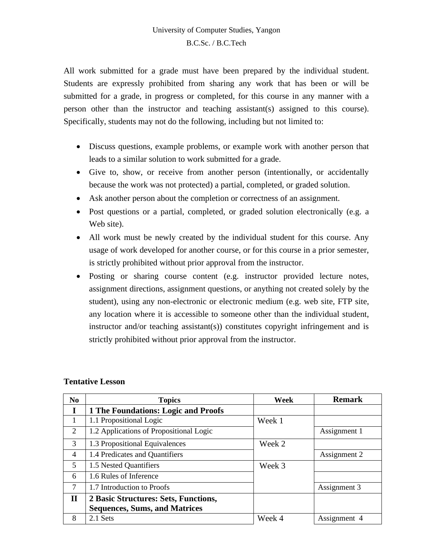All work submitted for a grade must have been prepared by the individual student. Students are expressly prohibited from sharing any work that has been or will be submitted for a grade, in progress or completed, for this course in any manner with a person other than the instructor and teaching assistant(s) assigned to this course). Specifically, students may not do the following, including but not limited to:

- Discuss questions, example problems, or example work with another person that leads to a similar solution to work submitted for a grade.
- Give to, show, or receive from another person (intentionally, or accidentally because the work was not protected) a partial, completed, or graded solution.
- Ask another person about the completion or correctness of an assignment.
- Post questions or a partial, completed, or graded solution electronically (e.g. a Web site).
- All work must be newly created by the individual student for this course. Any usage of work developed for another course, or for this course in a prior semester, is strictly prohibited without prior approval from the instructor.
- Posting or sharing course content (e.g. instructor provided lecture notes, assignment directions, assignment questions, or anything not created solely by the student), using any non-electronic or electronic medium (e.g. web site, FTP site, any location where it is accessible to someone other than the individual student, instructor and/or teaching assistant(s)) constitutes copyright infringement and is strictly prohibited without prior approval from the instructor.

| N <sub>0</sub> | <b>Topics</b>                           | Week   | <b>Remark</b> |
|----------------|-----------------------------------------|--------|---------------|
| I              | 1 The Foundations: Logic and Proofs     |        |               |
|                | 1.1 Propositional Logic                 | Week 1 |               |
| 2              | 1.2 Applications of Propositional Logic |        | Assignment 1  |
| 3              | 1.3 Propositional Equivalences          | Week 2 |               |
| 4              | 1.4 Predicates and Quantifiers          |        | Assignment 2  |
| 5              | 1.5 Nested Quantifiers                  | Week 3 |               |
| 6              | 1.6 Rules of Inference                  |        |               |
| 7              | 1.7 Introduction to Proofs              |        | Assignment 3  |
| $\mathbf{I}$   | 2 Basic Structures: Sets, Functions,    |        |               |
|                | <b>Sequences, Sums, and Matrices</b>    |        |               |
| 8              | 2.1 Sets                                | Week 4 | Assignment 4  |

### **Tentative Lesson**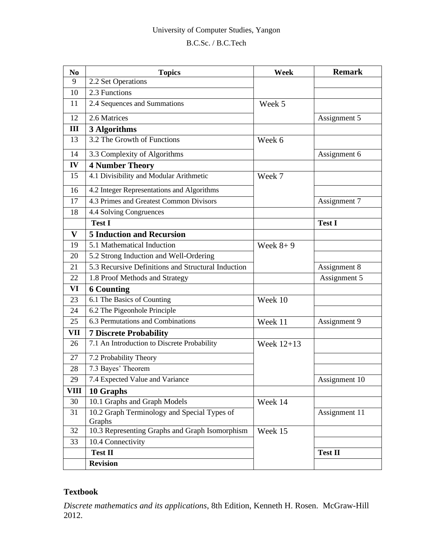# University of Computer Studies, Yangon

## B.C.Sc. / B.C.Tech

| N <sub>0</sub> | <b>Topics</b>                                         | Week       | <b>Remark</b>  |
|----------------|-------------------------------------------------------|------------|----------------|
| 9              | 2.2 Set Operations                                    |            |                |
| 10             | 2.3 Functions                                         |            |                |
| 11             | 2.4 Sequences and Summations                          | Week 5     |                |
| 12             | 2.6 Matrices                                          |            | Assignment 5   |
| Ш              | 3 Algorithms                                          |            |                |
| 13             | 3.2 The Growth of Functions                           | Week 6     |                |
| 14             | 3.3 Complexity of Algorithms                          |            | Assignment 6   |
| IV             | <b>4 Number Theory</b>                                |            |                |
| 15             | 4.1 Divisibility and Modular Arithmetic               | Week 7     |                |
| 16             | 4.2 Integer Representations and Algorithms            |            |                |
| 17             | 4.3 Primes and Greatest Common Divisors               |            | Assignment 7   |
| 18             | 4.4 Solving Congruences                               |            |                |
|                | <b>Test I</b>                                         |            | <b>Test I</b>  |
| $\mathbf{V}$   | <b>5 Induction and Recursion</b>                      |            |                |
| 19             | 5.1 Mathematical Induction<br>Week $8+9$              |            |                |
| 20             | 5.2 Strong Induction and Well-Ordering                |            |                |
| 21             | 5.3 Recursive Definitions and Structural Induction    |            | Assignment 8   |
| 22             | 1.8 Proof Methods and Strategy                        |            | Assignment 5   |
| VI             | <b>6 Counting</b>                                     |            |                |
| 23             | 6.1 The Basics of Counting                            | Week 10    |                |
| 24             | 6.2 The Pigeonhole Principle                          |            |                |
| 25             | 6.3 Permutations and Combinations                     | Week 11    | Assignment 9   |
| VII            | <b>7 Discrete Probability</b>                         |            |                |
| 26             | 7.1 An Introduction to Discrete Probability           | Week 12+13 |                |
| 27             | 7.2 Probability Theory                                |            |                |
| 28             | 7.3 Bayes' Theorem                                    |            |                |
| 29             | 7.4 Expected Value and Variance                       |            | Assignment 10  |
| <b>VIII</b>    | 10 Graphs                                             |            |                |
| 30             | 10.1 Graphs and Graph Models                          | Week 14    |                |
| 31             | 10.2 Graph Terminology and Special Types of<br>Graphs |            | Assignment 11  |
| 32             | 10.3 Representing Graphs and Graph Isomorphism        | Week 15    |                |
| 33             | 10.4 Connectivity                                     |            |                |
|                | <b>Test II</b>                                        |            | <b>Test II</b> |
|                | <b>Revision</b>                                       |            |                |

# **Textbook**

*Discrete mathematics and its applications*, 8th Edition, Kenneth H. Rosen. McGraw-Hill 2012.